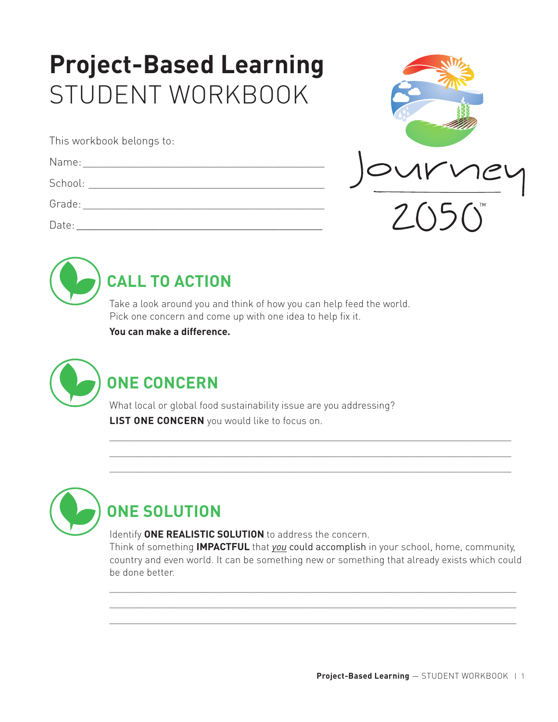# **Project-Based Learning** STUDENT WORKBOOK

This workbook belongs to:

| Name:   |  |
|---------|--|
| School: |  |
| Grade:  |  |
| Date:   |  |





## **CALL TO ACTION**

Take a look around you and think of how you can help feed the world. Pick one concern and come up with one idea to help fix it.

**You can make a difference.**



### **ONE CONCERN**

What local or global food sustainability issue are you addressing? **LIST ONE CONCERN** you would like to focus on.



### **ONE SOLUTION**

Identify **ONE REALISTIC SOLUTION** to address the concern.

Think of something **IMPACTFUL** that *you* could accomplish in your school, home, community, country and even world. It can be something new or something that already exists which could be done better.

 $\_$  , and the set of the set of the set of the set of the set of the set of the set of the set of the set of the set of the set of the set of the set of the set of the set of the set of the set of the set of the set of th

 $\_$  , and the set of the set of the set of the set of the set of the set of the set of the set of the set of the set of the set of the set of the set of the set of the set of the set of the set of the set of the set of th

 $\_$  , and the set of the set of the set of the set of the set of the set of the set of the set of the set of the set of the set of the set of the set of the set of the set of the set of the set of the set of the set of th  $\_$  , and the set of the set of the set of the set of the set of the set of the set of the set of the set of the set of the set of the set of the set of the set of the set of the set of the set of the set of the set of th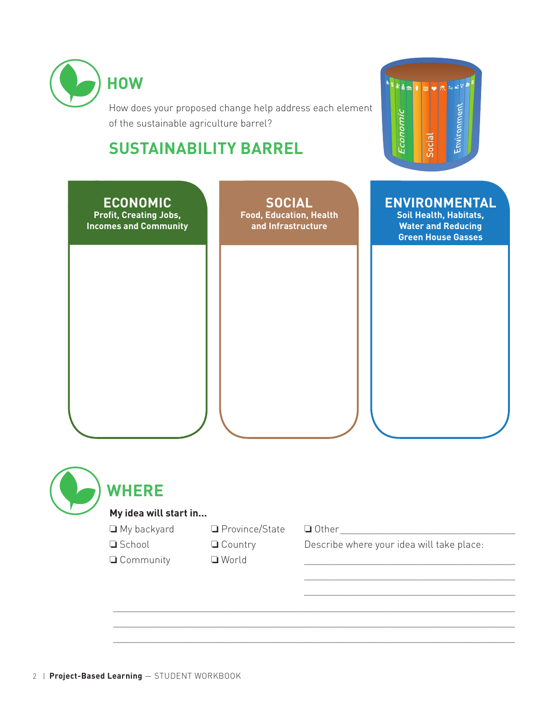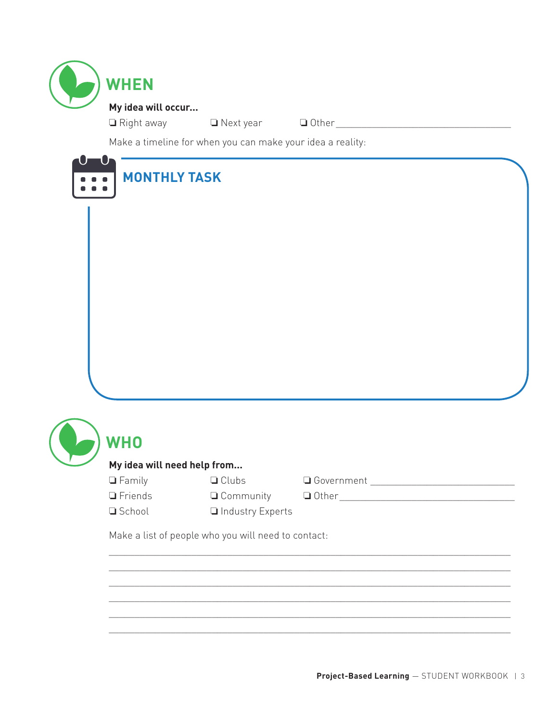

**O** Right away **O** Next year **O** Other <u>Constant Communications of Algebra</u> and Algebra Constant Constant Constant Constant Constant Constant Constant Constant Constant Constant Constant Constant Constant Constant Constant

Make a timeline for when you can make your idea a reality:



| <b>WHO</b>                  |                                                     |              |
|-----------------------------|-----------------------------------------------------|--------------|
| My idea will need help from |                                                     |              |
| $\Box$ Family               | $\Box$ Clubs                                        | □ Government |
| $\Box$ Friends              | <b>Q</b> Community                                  | □ Other      |
| □ School                    | Industry Experts                                    |              |
|                             | Make a list of people who you will need to contact: |              |

 $\_$  , and the set of the set of the set of the set of the set of the set of the set of the set of the set of the set of the set of the set of the set of the set of the set of the set of the set of the set of the set of th  $\_$  , and the set of the set of the set of the set of the set of the set of the set of the set of the set of the set of the set of the set of the set of the set of the set of the set of the set of the set of the set of th

 $\_$  , and the set of the set of the set of the set of the set of the set of the set of the set of the set of the set of the set of the set of the set of the set of the set of the set of the set of the set of the set of th  $\_$  , and the set of the set of the set of the set of the set of the set of the set of the set of the set of the set of the set of the set of the set of the set of the set of the set of the set of the set of the set of th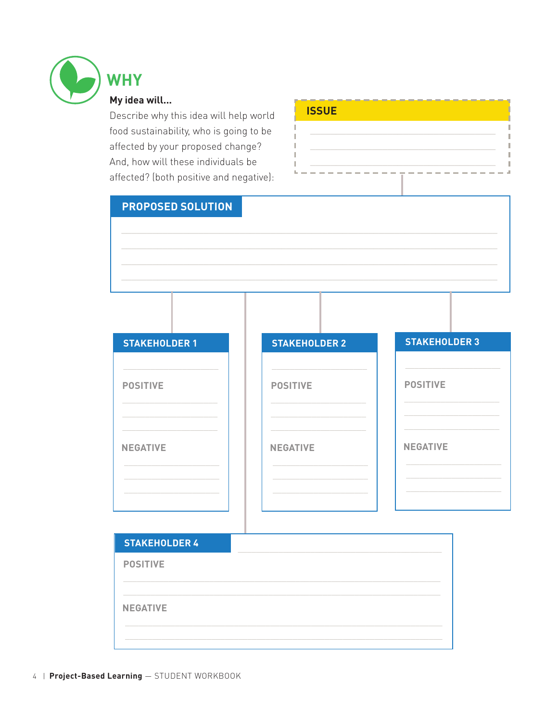

## **WHY**

### My idea wil

Describe w food sustair affected by And, how w affected? (b

| v idea will<br>scribe why this idea will help world<br>od sustainability, who is going to be<br>ected by your proposed change?<br>d, how will these individuals be<br>ected? (both positive and negative): | <b>ISSUE</b>         |                      |
|------------------------------------------------------------------------------------------------------------------------------------------------------------------------------------------------------------|----------------------|----------------------|
| <b>PROPOSED SOLUTION</b>                                                                                                                                                                                   |                      |                      |
|                                                                                                                                                                                                            |                      |                      |
|                                                                                                                                                                                                            |                      |                      |
|                                                                                                                                                                                                            |                      |                      |
|                                                                                                                                                                                                            |                      |                      |
| <b>STAKEHOLDER 1</b>                                                                                                                                                                                       | <b>STAKEHOLDER 2</b> | <b>STAKEHOLDER 3</b> |
| <b>POSITIVE</b>                                                                                                                                                                                            | <b>POSITIVE</b>      | <b>POSITIVE</b>      |
| <b>NEGATIVE</b>                                                                                                                                                                                            | <b>NEGATIVE</b>      | <b>NEGATIVE</b>      |
|                                                                                                                                                                                                            |                      |                      |
| <b>STAKEHOLDER 4</b>                                                                                                                                                                                       |                      |                      |
| <b>POSITIVE</b>                                                                                                                                                                                            |                      |                      |
| <b>NEGATIVE</b>                                                                                                                                                                                            |                      |                      |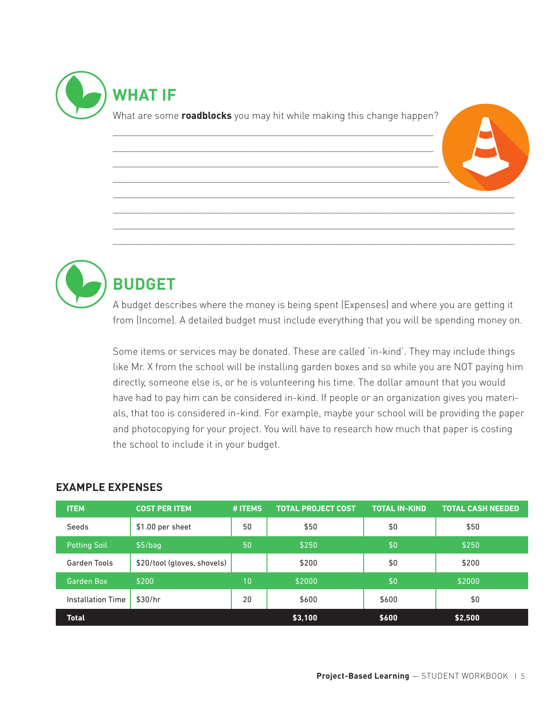





### **BUDGET**

A budget describes where the money is being spent (Expenses) and where you are getting it from (Income). A detailed budget must include everything that you will be spending money on.

 $\_$  , and the set of the set of the set of the set of the set of the set of the set of the set of the set of the set of the set of the set of the set of the set of the set of the set of the set of the set of the set of th  $\_$  , and the set of the set of the set of the set of the set of the set of the set of the set of the set of the set of the set of the set of the set of the set of the set of the set of the set of the set of the set of th

Some items or services may be donated. These are called 'in-kind'. They may include things like Mr. X from the school will be installing garden boxes and so while you are NOT paying him directly, someone else is, or he is volunteering his time. The dollar amount that you would have had to pay him can be considered in-kind. If people or an organization gives you materials, that too is considered in-kind. For example, maybe your school will be providing the paper and photocopying for your project. You will have to research how much that paper is costing the school to include it in your budget.

#### **EXAMPLE EXPENSES**

| <b>ITEM</b>              | <b>COST PER ITEM</b>        | # ITEMS | <b>TOTAL PROJECT COST</b> | <b>TOTAL IN-KIND</b> | <b>TOTAL CASH NEEDED</b> |
|--------------------------|-----------------------------|---------|---------------------------|----------------------|--------------------------|
| Seeds                    | \$1.00 per sheet            | 50      | \$50                      | \$0                  | \$50                     |
| <b>Potting Soil</b>      | \$5/baq                     | 50      | \$250                     | \$0                  | \$250                    |
| Garden Tools             | \$20/tool (gloves, shovels) |         | \$200                     | \$0                  | \$200                    |
| Garden Box               | \$200                       | 10      | \$2000                    | \$0                  | \$2000                   |
| <b>Installation Time</b> | \$30/hr                     | 20      | \$600                     | \$600                | \$0                      |
| <b>Total</b>             |                             |         | \$3,100                   | \$600                | \$2,500                  |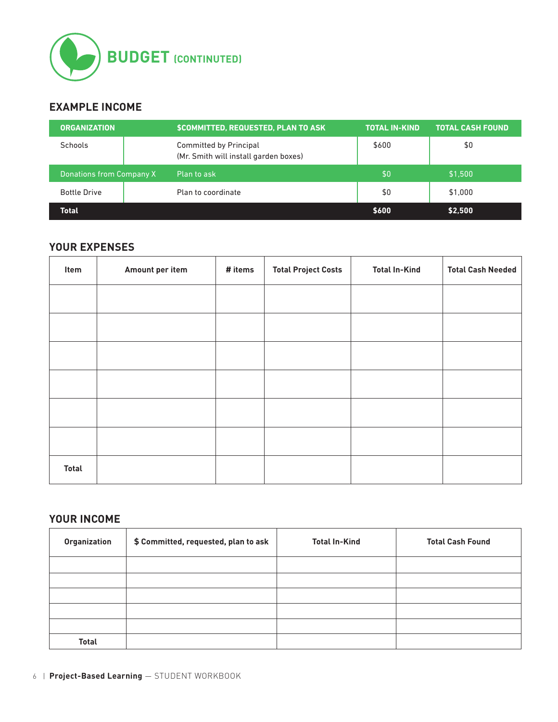

### **EXAMPLE INCOME**

| <b>ORGANIZATION</b>      | <b>\$COMMITTED, REQUESTED, PLAN TO ASK</b>                             | <b>TOTAL IN-KIND</b> | <b>TOTAL CASH FOUND</b> |
|--------------------------|------------------------------------------------------------------------|----------------------|-------------------------|
| Schools                  | <b>Committed by Principal</b><br>(Mr. Smith will install garden boxes) | \$600                | \$0                     |
| Donations from Company X | Plan to ask                                                            | \$0                  | \$1,500                 |
| <b>Bottle Drive</b>      | Plan to coordinate                                                     | \$0                  | \$1,000                 |
| <b>Total</b>             |                                                                        | \$600                | \$2.500                 |

#### **YOUR EXPENSES**

| Item         | Amount per item | # items | <b>Total Project Costs</b> | <b>Total In-Kind</b> | <b>Total Cash Needed</b> |
|--------------|-----------------|---------|----------------------------|----------------------|--------------------------|
|              |                 |         |                            |                      |                          |
|              |                 |         |                            |                      |                          |
|              |                 |         |                            |                      |                          |
|              |                 |         |                            |                      |                          |
|              |                 |         |                            |                      |                          |
|              |                 |         |                            |                      |                          |
| <b>Total</b> |                 |         |                            |                      |                          |

#### **YOUR INCOME**

| Organization | \$ Committed, requested, plan to ask | <b>Total In-Kind</b> | <b>Total Cash Found</b> |
|--------------|--------------------------------------|----------------------|-------------------------|
|              |                                      |                      |                         |
|              |                                      |                      |                         |
|              |                                      |                      |                         |
|              |                                      |                      |                         |
|              |                                      |                      |                         |
| <b>Total</b> |                                      |                      |                         |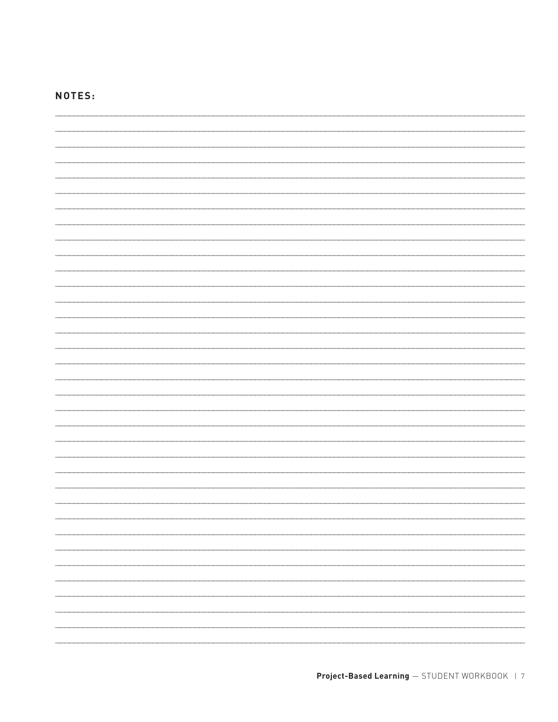#### NOTES:

|  |  | - |
|--|--|---|
|  |  |   |
|  |  |   |
|  |  |   |
|  |  |   |
|  |  |   |
|  |  |   |
|  |  |   |
|  |  |   |
|  |  |   |
|  |  |   |
|  |  |   |
|  |  |   |
|  |  |   |
|  |  |   |
|  |  |   |
|  |  |   |
|  |  |   |
|  |  |   |
|  |  |   |
|  |  |   |
|  |  |   |
|  |  |   |
|  |  |   |